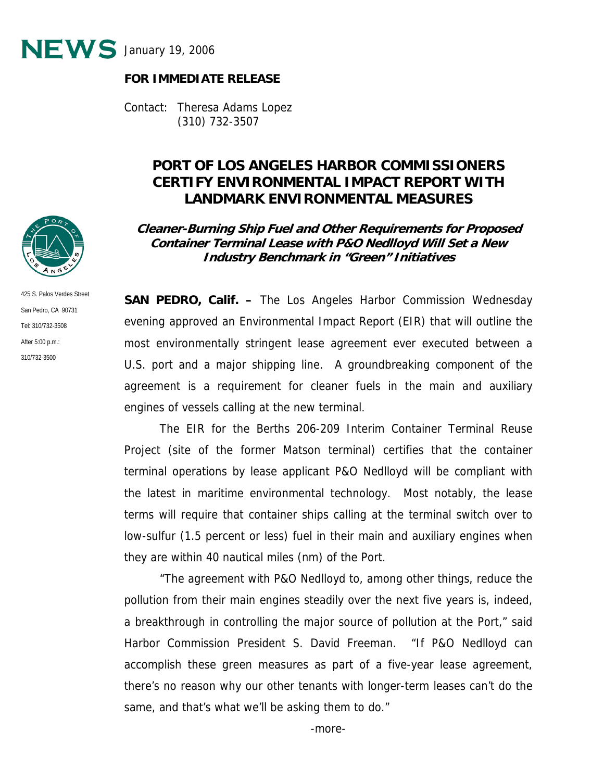

#### **FOR IMMEDIATE RELEASE**

Contact: Theresa Adams Lopez (310) 732-3507

# **PORT OF LOS ANGELES HARBOR COMMISSIONERS CERTIFY ENVIRONMENTAL IMPACT REPORT WITH LANDMARK ENVIRONMENTAL MEASURES**

**Cleaner-Burning Ship Fuel and Other Requirements for Proposed Container Terminal Lease with P&O Nedlloyd Will Set a New Industry Benchmark in "Green" Initiatives**

425 S. Palos Verdes Street San Pedro, CA 90731 Tel: 310/732-3508 After 5:00 p.m.: 310/732-3500

**SAN PEDRO, Calif. –** The Los Angeles Harbor Commission Wednesday evening approved an Environmental Impact Report (EIR) that will outline the most environmentally stringent lease agreement ever executed between a U.S. port and a major shipping line. A groundbreaking component of the agreement is a requirement for cleaner fuels in the main and auxiliary engines of vessels calling at the new terminal.

The EIR for the Berths 206-209 Interim Container Terminal Reuse Project (site of the former Matson terminal) certifies that the container terminal operations by lease applicant P&O Nedlloyd will be compliant with the latest in maritime environmental technology. Most notably, the lease terms will require that container ships calling at the terminal switch over to low-sulfur (1.5 percent or less) fuel in their main and auxiliary engines when they are within 40 nautical miles (nm) of the Port.

"The agreement with P&O Nedlloyd to, among other things, reduce the pollution from their main engines steadily over the next five years is, indeed, a breakthrough in controlling the major source of pollution at the Port," said Harbor Commission President S. David Freeman. "If P&O Nedlloyd can accomplish these green measures as part of a five-year lease agreement, there's no reason why our other tenants with longer-term leases can't do the same, and that's what we'll be asking them to do."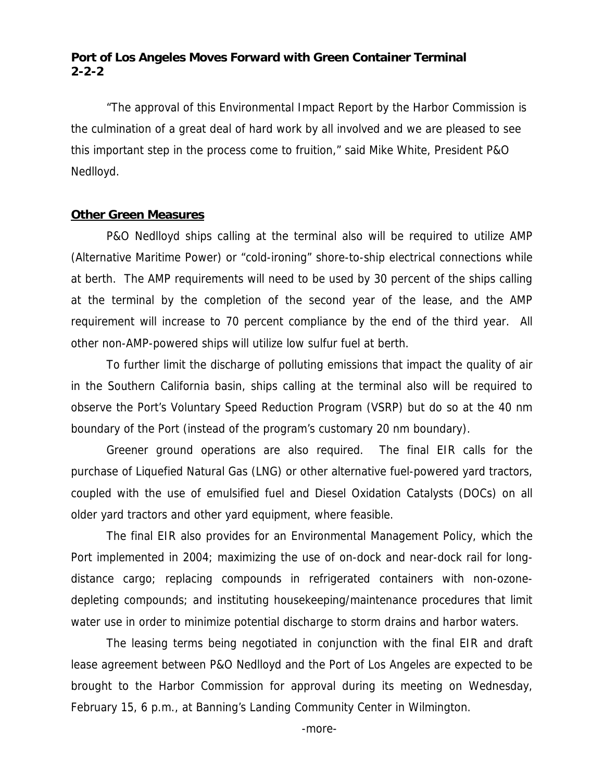## **Port of Los Angeles Moves Forward with Green Container Terminal 2-2-2**

"The approval of this Environmental Impact Report by the Harbor Commission is the culmination of a great deal of hard work by all involved and we are pleased to see this important step in the process come to fruition," said Mike White, President P&O Nedlloyd.

#### **Other Green Measures**

P&O Nedlloyd ships calling at the terminal also will be required to utilize AMP (Alternative Maritime Power) or "cold-ironing" shore-to-ship electrical connections while at berth. The AMP requirements will need to be used by 30 percent of the ships calling at the terminal by the completion of the second year of the lease, and the AMP requirement will increase to 70 percent compliance by the end of the third year. All other non-AMP-powered ships will utilize low sulfur fuel at berth.

To further limit the discharge of polluting emissions that impact the quality of air in the Southern California basin, ships calling at the terminal also will be required to observe the Port's Voluntary Speed Reduction Program (VSRP) but do so at the 40 nm boundary of the Port (instead of the program's customary 20 nm boundary).

Greener ground operations are also required. The final EIR calls for the purchase of Liquefied Natural Gas (LNG) or other alternative fuel-powered yard tractors, coupled with the use of emulsified fuel and Diesel Oxidation Catalysts (DOCs) on all older yard tractors and other yard equipment, where feasible.

The final EIR also provides for an Environmental Management Policy, which the Port implemented in 2004; maximizing the use of on-dock and near-dock rail for longdistance cargo; replacing compounds in refrigerated containers with non-ozonedepleting compounds; and instituting housekeeping/maintenance procedures that limit water use in order to minimize potential discharge to storm drains and harbor waters.

The leasing terms being negotiated in conjunction with the final EIR and draft lease agreement between P&O Nedlloyd and the Port of Los Angeles are expected to be brought to the Harbor Commission for approval during its meeting on Wednesday, February 15, 6 p.m., at Banning's Landing Community Center in Wilmington.